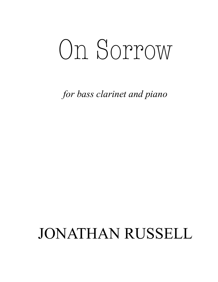# On Sorrow

*for bass clarinet and piano*

# JONATHAN RUSSELL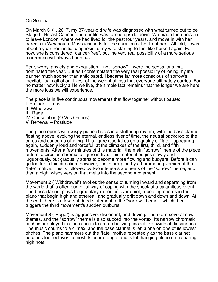#### On Sorrow

On March 31st, 2017, my 37-year-old wife was diagnosed with what turned out to be Stage III Breast Cancer, and our life was turned upside down. We made the decision to leave London, where we had lived for the past four years, and move in with her parents in Weymouth, Massachusetts for the duration of her treatment. All told, it was about a year from initial diagnosis to my wife starting to feel like herself again. For now, she is considered "cancer-free", but the very real possibility of a more serious recurrence will always haunt us.

Fear, worry, anxiety and exhaustion – not "sorrow" – were the sensations that dominated the year. But as I contemplated the very real possibility of losing my life partner much sooner than anticipated, I became far more conscious of sorrow's inevitability in all of our lives, of the weight of loss that everyone ultimately carries. For no matter how lucky a life we live, the simple fact remains that the longer we are here the more loss we will experience.

The piece is in five continuous movements that flow together without pause:

I. Prelude – Loss II. Withdrawal III. Rage IV. Consolation (O Vos Omnes) V. Renewal – Postlude

The piece opens with wispy piano chords in a stuttering rhythm, with the bass clarinet floating above, evoking the eternal, endless river of time, the neutral backdrop to the cares and concerns of living. This figure also takes on a quality of "fate," appearing again, suddenly loud and forceful, at the climaxes of the first, third, and fifth movements. After a few minutes of this material, the main "sorrow" theme of the piece enters: a circular, chromatic figure in five. This material begins slowly and lugubriously, but gradually starts to become more flowing and buoyant. Before it can go too far in this direction, however, it is interrupted by a hammering version of the "fate" motive. This is followed by two intense statements of the "sorrow" theme, and then a high, wispy version that melts into the second movement.

Movement 2 ("Withdrawal") evokes the sense of turning inward and separating from the world that is often our initial way of coping with the shock of a calamitous event. The bass clarinet plays fragmentary melodies over quiet, repeating chords in the piano that begin high and ethereal, and gradually drift down and down and down. At the end, there is a low, subdued statement of the "sorrow" theme – which then triggers the third movement's sudden outburst.

Movement 3 ("Rage") is aggressive, dissonant, and driving. There are several new themes, and the "sorrow" theme is also sucked into the vortex. Its narrow chromatic pitches are played in close canon to create buzzing, insect-like swirls of dissonance. The music churns to a climax, and the bass clarinet is left alone on one of its lowest pitches. The piano hammers out the "fate" motive repeatedly as the bass clarinet ascends four octaves, almost its entire range, and is left hanging alone on a searing high note.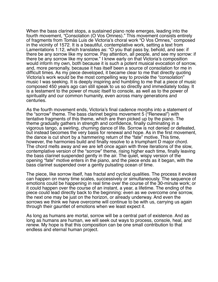When the bass clarinet stops, a sustained piano note emerges, leading into the fourth movement, "Consolation (O Vos Omnes)." This movement consists entirely of fragments from Tomás Luis de Victoria's choral work "O Vos Omnes," composed in the vicinity of 1572. It is a beautiful, contemplative work, setting a text from Lamentations 1:12, which translates as: "O you that pass by, behold, and see: if there be any sorrow like my sorrow. Pay attention, all people, and see my sorrow: if there be any sorrow like my sorrow." I knew early on that Victoria's composition would inform my own, both because it is such a potent musical evocation of sorrow, and, more personally, because it has itself been a source of consolation for me in difficult times. As my piece developed, it became clear to me that directly quoting Victoria's work would be the most compelling way to provide the "consolation" music I was seeking. It is deeply inspiring and humbling to me that a piece of music composed 450 years ago can still speak to us so directly and immediately today. It is a testament to the power of music itself to console, as well as to the power of spirituality and our common humanity, even across many generations and centuries.

As the fourth movement ends, Victoria's final cadence morphs into a statement of the "sorrow" theme. The bass clarinet begins movement 5 ("Renewal") with tentative fragments of this theme, which are then picked up by the piano. The theme gradually gathers in strength and confidence, finally culminating in a vigorous tango, a swirling, churning dance of life. Sorrow is not denied or defeated, but instead becomes the very basis for renewal and hope. As in the first movement, the dance is cut short by a hammering return of the "fate" motive. This time, however, the harmonies build and finally resolve to a triumphant D major chord. The chord melts away and we are left once again with three iterations of the slow, contemplative version of the "sorrow" theme, rising higher each time, finally leaving the bass clarinet suspended gently in the air. The quiet, wispy version of the opening "fate" motive enters in the piano, and the piece ends as it began, with the bass clarinet suspended over a gently pulsating ocean of time.

The piece, like sorrow itself, has fractal and cyclical qualities. The process it evokes can happen on many time scales, successively or simultaneously. The sequence of emotions could be happening in real time over the course of the 30-minute work; or it could happen over the course of an instant, a year, a lifetime. The ending of the piece could lead directly back to the beginning: even as we overcome one sorrow, the next one may be just on the horizon, or already underway. And even the sorrows we think we have overcome will continue to be with us, carrying us again through their gauntlet of emotions when we least expect it.

As long as humans are mortal, sorrow will be a central part of existence. And as long as humans are human, we will seek out ways to process, console, heal, and renew. My hope is that this composition can be one small contribution to that endless and eternal human project.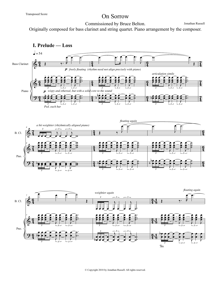Transposed Score

### On Sorrow

Commissioned by Bruce Belton.

Jonathan Russell

Originally composed for bass clarinet and string quartet. Piano arrangement by the composer.

 $\pmb{\Phi}$  $\pmb{\Phi}$ <u>.</u> 4 6 4 **Ģ** 4 **Ģ** 4 5 4 5  $\frac{2}{4}$ 5 4 **Ģ** 4  $\pmb{6}$ 4 **Ģ** 4 7 4 7 4 7 Bass Clarinet Piano  $\leftrightarrow$  $\widehat{\mathcal{C}}$ œ œ œ <u>۔</u><br>ع œ œ -<br>22 œ œ  $\widehat{\mathbf{e}}$ œ  $\mathbb{Z}$ œ œ œ œ œ œ  $\sum_{n=1}^{\infty}$ œ  $\ddot{\bullet}$ œ œ œ .<br>م.<br>م. :<br>: . .<br>م  $\frac{2}{5}$  $\frac{8}{2}$ *3 3 3* œ bœ  $\frac{1}{2}$ œ - œ - œ - œ - . p *wispy and ethereal, but with a solid core to the sound* - œ - œ - œ œ  $\blacksquare$ œ œ œ œ  $\ddot{\phantom{a}}$ œ œ .<br>م<br>—  $\tilde{e}$ *3 3 3 Ped. each bar*  $= 54$ **I. Prelude — Loss** p *freely floating (rhythm need not align precisely with piano)*  $\epsilon$   $\epsilon$   $\epsilon$   $\epsilon$  $\overline{V}$ œ œ œ œ <u>۔</u><br>ع œ œ <u>۔</u><br>م œ œ <u>ہے۔</u><br>م œ  $\mathbf{e}$ œ œ œ œ œ œ  $\overline{C}$ œ  $\ddot{\phantom{a}}$ œ œ œ  $\overline{P}$  $\frac{2}{5}$  $\overline{5}$ *3 3 3* œ œ b b œ œ  $\Rightarrow$ œ œ œ œ  $\overline{\mathbf{P}}$  $\ddot{\phantom{a}}$ œ œ - ˙  $\frac{2}{5}$ *3 3 3*  $\overbrace{e}$ Œ œ œ œ œ œ *articulation simile* œ œ œ œ œ e e œ œ J œ œ œ e<br>e œ  $\ddot{\phantom{a}}$ œ œ  $\begin{array}{c} \begin{array}{c} \bullet \\ \bullet \end{array} \end{array}$ . . .<br>م  $\frac{1}{2}$ ¤י® *3 3 3* œ bœ œ œ  $\widehat{\phantom{a}}$  $\blacksquare$ œ œ œ  $\widehat{\mathbf{e}}$  $\ddot{\phantom{a}}$ œ  $\widehat{\mathbb{P}}$ .<br>مغ  $\overline{\mathbf{S}}$ *3 3 3*  $\pmb{\Phi}$ 4 7 4 5 4 **Ģ** B. Cl. *4* <sup>œ</sup> <sup>œ</sup> <sup>œ</sup> <sup>œ</sup> <sup>j</sup>  $\overline{\cdot}$ .  $\overrightarrow{\cdot}$ *3 3 3* <sup>4</sup>  $\bullet$   $\bullet$ œ œ œ œ œ *a bit weightier (rhtyhmically aligned piano)*  $\leftrightarrow$ œ ˙. œ œ œ œ œ œ *floating again* œ. J  $\widehat{\mathsf{e}}$   $\widehat{\mathsf{e}}$ œ œ œ œ œ œ



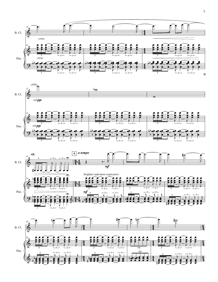





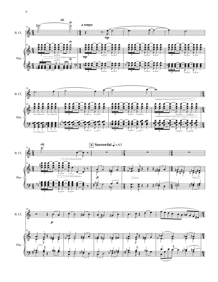





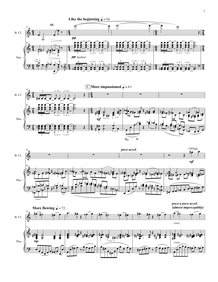





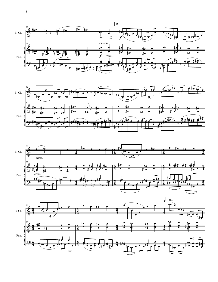





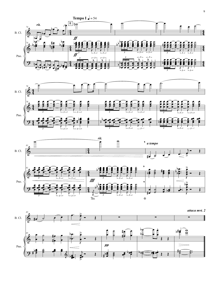

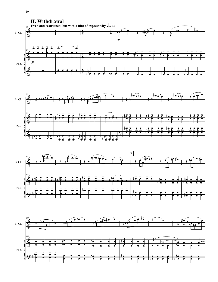





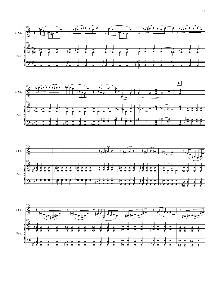





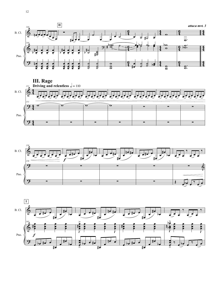





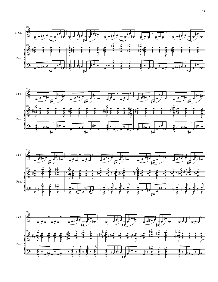





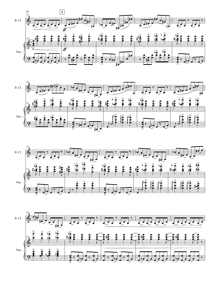





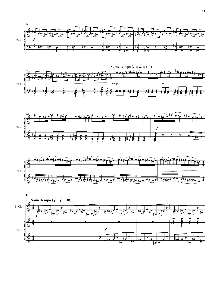







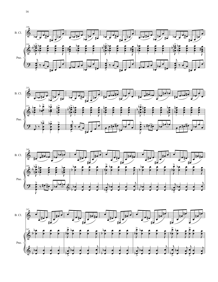





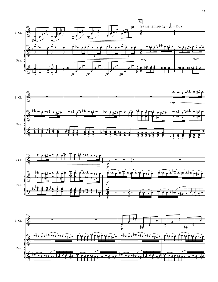





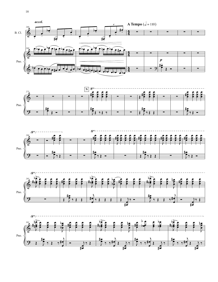







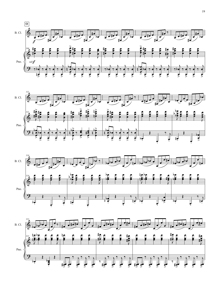





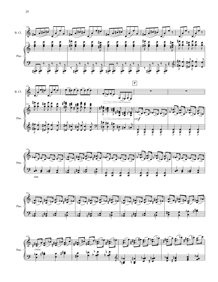







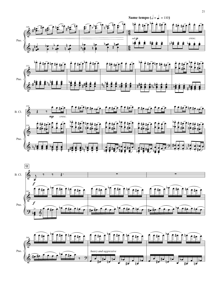







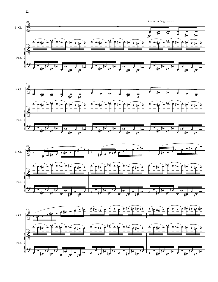





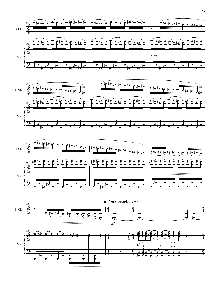





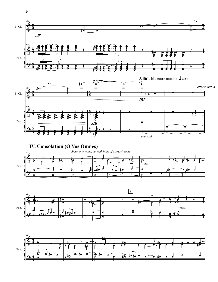



## **IV. Consolation (O Vos Omnes)**





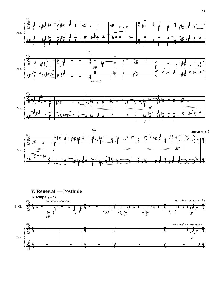







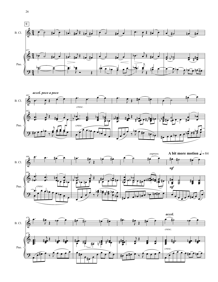





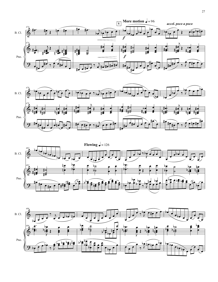





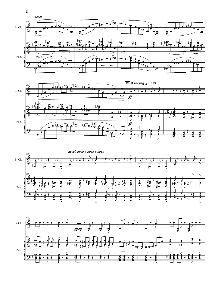





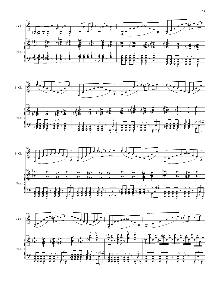





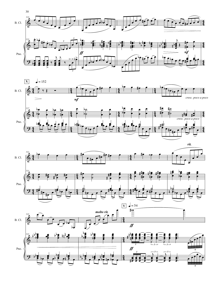









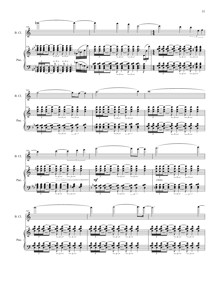





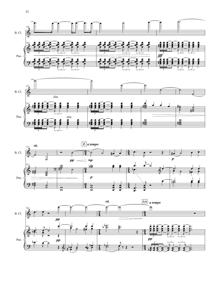